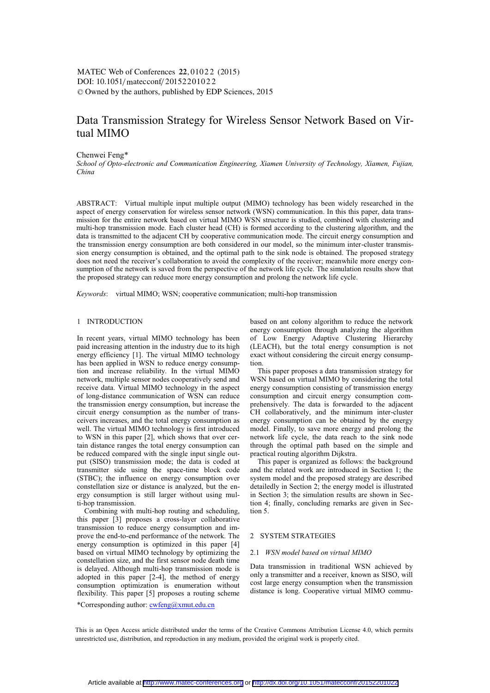DOI: 10.1051/matecconf/20152201022 -<sup>C</sup> Owned by the authors, published by EDP Sciences, 2015 MATEC Web of Conferences 22, 01022 (2015)

# Data Transmission Strategy for Wireless Sensor Network Based on Virtual MIMO

#### Chenwei Feng\*

*School of Opto-electronic and Communication Engineering, Xiamen University of Technology, Xiamen, Fujian, China* 

ABSTRACT: Virtual multiple input multiple output (MIMO) technology has been widely researched in the aspect of energy conservation for wireless sensor network (WSN) communication. In this this paper, data transmission for the entire network based on virtual MIMO WSN structure is studied, combined with clustering and multi-hop transmission mode. Each cluster head (CH) is formed according to the clustering algorithm, and the data is transmitted to the adjacent CH by cooperative communication mode. The circuit energy consumption and the transmission energy consumption are both considered in our model, so the minimum inter-cluster transmission energy consumption is obtained, and the optimal path to the sink node is obtained. The proposed strategy does not need the receiver's collaboration to avoid the complexity of the receiver; meanwhile more energy consumption of the network is saved from the perspective of the network life cycle. The simulation results show that the proposed strategy can reduce more energy consumption and prolong the network life cycle.

*Keywords*: virtual MIMO; WSN; cooperative communication; multi-hop transmission

# 1 INTRODUCTION

In recent years, virtual MIMO technology has been paid increasing attention in the industry due to its high energy efficiency [1]. The virtual MIMO technology has been applied in WSN to reduce energy consumption and increase reliability. In the virtual MIMO network, multiple sensor nodes cooperatively send and receive data. Virtual MIMO technology in the aspect of long-distance communication of WSN can reduce the transmission energy consumption, but increase the circuit energy consumption as the number of transceivers increases, and the total energy consumption as well. The virtual MIMO technology is first introduced to WSN in this paper [2], which shows that over certain distance ranges the total energy consumption can be reduced compared with the single input single output (SISO) transmission mode; the data is coded at transmitter side using the space-time block code (STBC); the influence on energy consumption over constellation size or distance is analyzed, but the energy consumption is still larger without using multi-hop transmission.

\*Corresponding author: cwfeng@xmut.edu.cn Combining with multi-hop routing and scheduling, this paper [3] proposes a cross-layer collaborative transmission to reduce energy consumption and improve the end-to-end performance of the network. The energy consumption is optimized in this paper [4] based on virtual MIMO technology by optimizing the constellation size, and the first sensor node death time is delayed. Although multi-hop transmission mode is adopted in this paper [2-4], the method of energy consumption optimization is enumeration without flexibility. This paper [5] proposes a routing scheme

based on ant colony algorithm to reduce the network energy consumption through analyzing the algorithm of Low Energy Adaptive Clustering Hierarchy (LEACH), but the total energy consumption is not exact without considering the circuit energy consumption.

This paper proposes a data transmission strategy for WSN based on virtual MIMO by considering the total energy consumption consisting of transmission energy consumption and circuit energy consumption comprehensively. The data is forwarded to the adjacent CH collaboratively, and the minimum inter-cluster energy consumption can be obtained by the energy model. Finally, to save more energy and prolong the network life cycle, the data reach to the sink node through the optimal path based on the simple and practical routing algorithm Dijkstra.

This paper is organized as follows: the background and the related work are introduced in Section 1; the system model and the proposed strategy are described detailedly in Section 2; the energy model is illustrated in Section 3; the simulation results are shown in Section 4; finally, concluding remarks are given in Section 5.

## 2 SYSTEM STRATEGIES

## 2.1 *WSN model based on virtual MIMO*

Data transmission in traditional WSN achieved by only a transmitter and a receiver, known as SISO, will cost large energy consumption when the transmission distance is long. Cooperative virtual MIMO commu-

This is an Open Access article distributed under the terms of the Creative Commons Attribution License 4.0, which permits unrestricted use, distribution, and reproduction in any medium, provided the original work is properly cited.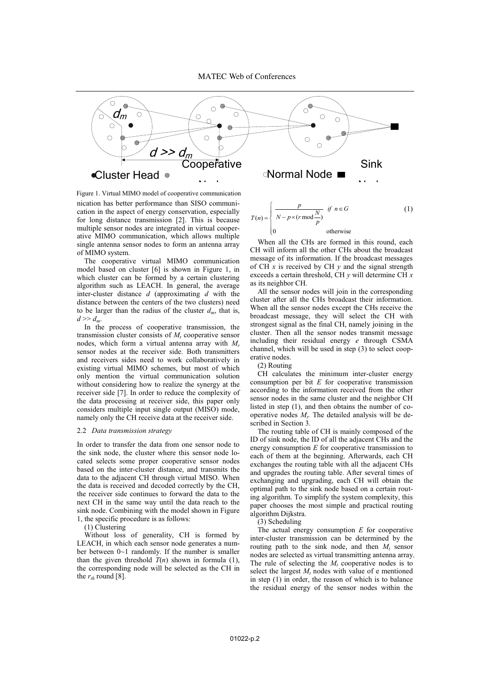

nication has better performance than SISO communication in the aspect of energy conservation, especially for long distance transmission [2]. This is because multiple sensor nodes are integrated in virtual cooperative MIMO communication, which allows multiple single antenna sensor nodes to form an antenna array of MIMO system. Figure 1. Virtual MIMO model of cooperative communication

The cooperative virtual MIMO communication model based on cluster [6] is shown in Figure 1, in which cluster can be formed by a certain clustering algorithm such as LEACH. In general, the average inter-cluster distance *d* (approximating *d* with the distance between the centers of the two clusters) need to be larger than the radius of the cluster  $d_m$ , that is,  $d \gg d_m$ .

In the process of cooperative transmission, the transmission cluster consists of  $M_t$  cooperative sensor nodes, which form a virtual antenna array with *Mr* sensor nodes at the receiver side. Both transmitters and receivers sides need to work collaboratively in existing virtual MIMO schemes, but most of which only mention the virtual communication solution without considering how to realize the synergy at the receiver side [7]. In order to reduce the complexity of the data processing at receiver side, this paper only considers multiple input single output (MISO) mode, namely only the CH receive data at the receiver side.

## 2.2 *Data transmission strategy*

In order to transfer the data from one sensor node to the sink node, the cluster where this sensor node located selects some proper cooperative sensor nodes based on the inter-cluster distance, and transmits the data to the adjacent CH through virtual MISO. When the data is received and decoded correctly by the CH, the receiver side continues to forward the data to the next CH in the same way until the data reach to the sink node. Combining with the model shown in Figure 1, the specific procedure is as follows:

(1) Clustering

Without loss of generality, CH is formed by LEACH, in which each sensor node generates a number between 0~1 randomly. If the number is smaller than the given threshold  $T(n)$  shown in formula (1), the corresponding node will be selected as the CH in the  $r_{th}$  round [8].

$$
T(n) = \begin{cases} \frac{p}{N - p \times (r \mod \frac{N}{p})} & \text{if } n \in G \\ 0 & \text{otherwise} \end{cases}
$$
 (1)

When all the CHs are formed in this round, each CH will inform all the other CHs about the broadcast message of its information. If the broadcast messages of CH *x* is received by CH *y* and the signal strength exceeds a certain threshold, CH *y* will determine CH *x* as its neighbor CH.

All the sensor nodes will join in the corresponding cluster after all the CHs broadcast their information. When all the sensor nodes except the CHs receive the broadcast message, they will select the CH with strongest signal as the final CH, namely joining in the cluster. Then all the sensor nodes transmit message including their residual energy *e* through CSMA channel, which will be used in step (3) to select cooperative nodes.

(2) Routing

CH calculates the minimum inter-cluster energy consumption per bit *E* for cooperative transmission according to the information received from the other sensor nodes in the same cluster and the neighbor CH listed in step (1), and then obtains the number of cooperative nodes  $M_t$ . The detailed analysis will be described in Section 3.

The routing table of CH is mainly composed of the ID of sink node, the ID of all the adjacent CHs and the energy consumption *E* for cooperative transmission to each of them at the beginning. Afterwards, each CH exchanges the routing table with all the adjacent CHs and upgrades the routing table. After several times of exchanging and upgrading, each CH will obtain the optimal path to the sink node based on a certain routing algorithm. To simplify the system complexity, this paper chooses the most simple and practical routing algorithm Dijkstra.

(3) Scheduling

The actual energy consumption *E* for cooperative inter-cluster transmission can be determined by the routing path to the sink node, and then  $M_t$  sensor nodes are selected as virtual transmitting antenna array. The rule of selecting the  $M_t$  cooperative nodes is to select the largest  $M_t$  nodes with value of e mentioned in step (1) in order, the reason of which is to balance the residual energy of the sensor nodes within the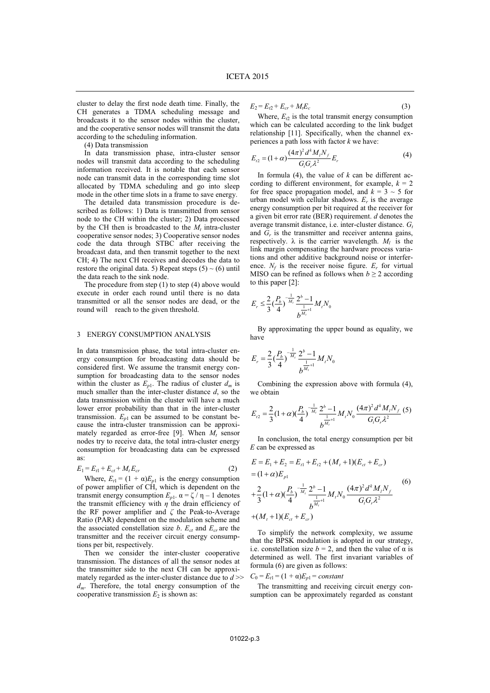cluster to delay the first node death time. Finally, the CH generates a TDMA scheduling message and broadcasts it to the sensor nodes within the cluster, and the cooperative sensor nodes will transmit the data according to the scheduling information.

(4) Data transmission

In data transmission phase, intra-cluster sensor nodes will transmit data according to the scheduling information received. It is notable that each sensor node can transmit data in the corresponding time slot allocated by TDMA scheduling and go into sleep mode in the other time slots in a frame to save energy.

The detailed data transmission procedure is described as follows: 1) Data is transmitted from sensor node to the CH within the cluster; 2) Data processed by the CH then is broadcasted to the  $M_t$  intra-cluster cooperative sensor nodes; 3) Cooperative sensor nodes code the data through STBC after receiving the broadcast data, and then transmit together to the next CH; 4) The next CH receives and decodes the data to restore the original data. 5) Repeat steps  $(5) \sim (6)$  until the data reach to the sink node.

The procedure from step (1) to step (4) above would execute in order each round until there is no data transmitted or all the sensor nodes are dead, or the round will reach to the given threshold.

#### 3 ENERGY CONSUMPTION ANALYSIS

In data transmission phase, the total intra-cluster energy consumption for broadcasting data should be considered first. We assume the transmit energy consumption for broadcasting data to the sensor nodes within the cluster as  $E_{p1}$ . The radius of cluster  $d_m$  is much smaller than the inter-cluster distance *d*, so the data transmission within the cluster will have a much lower error probability than that in the inter-cluster transmission.  $E_{p1}$  can be assumed to be constant because the intra-cluster transmission can be approximately regarded as error-free [9]. When  $M_t$  sensor nodes try to receive data, the total intra-cluster energy consumption for broadcasting data can be expressed as:

$$
E_1 = E_{t1} + E_{ct} + M_t E_{cr}
$$
 (2)

Where,  $E_{t1} = (1 + \alpha)E_{p1}$  is the energy consumption of power amplifier of CH, which is dependent on the transmit energy consumption  $E_{p1}$ .  $\alpha = \zeta / \eta - 1$  denotes the transmit efficiency with *η* the drain efficiency of the RF power amplifier and *ζ* the Peak-to-Average Ratio (PAR) dependent on the modulation scheme and the associated constellation size *b*.  $E_{ct}$  and  $E_{cr}$  are the transmitter and the receiver circuit energy consumptions per bit, respectively.

Then we consider the inter-cluster cooperative transmission. The distances of all the sensor nodes at the transmitter side to the next CH can be approximately regarded as the inter-cluster distance due to *d* >> *dm*. Therefore, the total energy consumption of the cooperative transmission  $E_2$  is shown as:

$$
E_2 = E_{t2} + E_{cr} + M_t E_c \tag{3}
$$

Where,  $E_{t2}$  is the total transmit energy consumption which can be calculated according to the link budget relationship [11]. Specifically, when the channel experiences a path loss with factor *k* we have:

$$
E_{i2} = (1+\alpha)\frac{(4\pi)^2 d^k M_i N_f}{G_i G_r \lambda^2} E_r
$$
 (4)

In formula (4), the value of  $k$  can be different according to different environment, for example,  $k = 2$ for free space propagation model, and  $k = 3 \sim 5$  for urban model with cellular shadows.  $E_r$  is the average energy consumption per bit required at the receiver for a given bit error rate (BER) requirement. *d* denotes the average transmit distance, i.e. inter-cluster distance. *G*<sub>t</sub> and *G<sub>r</sub>* is the transmitter and receiver antenna gains, respectively.  $\lambda$  is the carrier wavelength.  $M_l$  is the link margin compensating the hardware process variations and other additive background noise or interference.  $N_f$  is the receiver noise figure.  $E_r$  for virtual MISO can be refined as follows when  $b \ge 2$  according to this paper [2]:

$$
E_r \leq \frac{2}{3} \left(\frac{P_b}{4}\right)^{-\frac{1}{M_t}} \frac{2^b - 1}{b^{\frac{1}{M_t}+1}} M_t N_0
$$

By approximating the upper bound as equality, we have

$$
E_r = \frac{2}{3} \left(\frac{P_b}{4}\right)^{-\frac{1}{M_t}} \frac{2^b - 1}{b^{\frac{1}{M_t}+1}} M_t N_0
$$

Combining the expression above with formula (4), we obtain

$$
E_{t2} = \frac{2}{3}(1+\alpha)\left(\frac{P_b}{4}\right)^{-\frac{1}{M_t}}\frac{2^b-1}{b^{\frac{1}{M_t}+1}}M_tN_0\frac{(4\pi)^2d^kM_tN_f}{G_tG_r\lambda^2}(5)
$$

In conclusion, the total energy consumption per bit *E* can be expressed as

$$
E = E_1 + E_2 = E_{t1} + E_{t2} + (M_t + 1)(E_{ct} + E_{cr})
$$
  
=  $(1 + \alpha)E_{p1}$   
+  $\frac{2}{3}(1 + \alpha)\left(\frac{P_b}{4}\right)^{-\frac{1}{M_t}} \frac{2^b - 1}{\frac{1}{b^{M_t}}M_tN_0} \frac{(4\pi)^2 d^k M_tN_f}{G_tG_r\lambda^2}$   
+  $(M_t + 1)(E_{ct} + E_{cr})$  (6)

To simplify the network complexity, we assume that the BPSK modulation is adopted in our strategy, i.e. constellation size  $b = 2$ , and then the value of  $\alpha$  is determined as well. The first invariant variables of formula (6) are given as follows:

$$
C_0 = E_{t1} = (1 + \alpha)E_{p1} = constant
$$

The transmitting and receiving circuit energy consumption can be approximately regarded as constant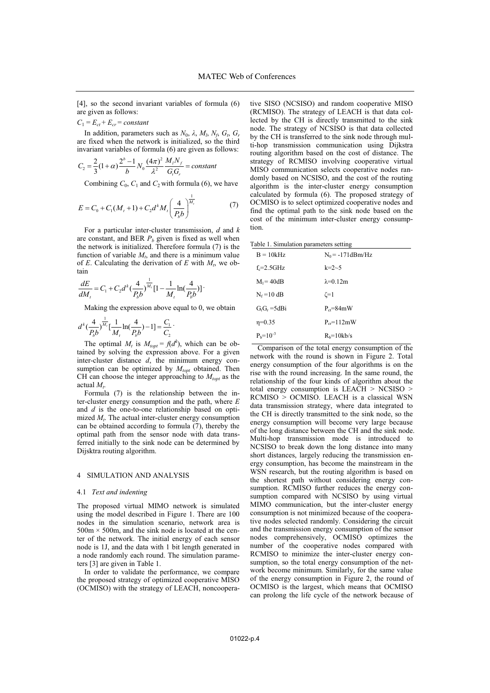[4], so the second invariant variables of formula (6) are given as follows:

 $C_1 = E_{ct} + E_{cr} = constant$ 

In addition, parameters such as  $N_0$ ,  $\lambda$ ,  $M_l$ ,  $N_f$ ,  $G_t$ ,  $G_t$ are fixed when the network is initialized, so the third invariant variables of formula (6) are given as follows:

$$
C_2 = \frac{2}{3}(1+\alpha)\frac{2^b-1}{b}N_0\frac{(4\pi)^2}{\lambda^2}\frac{M_tN_f}{G_tG_r} = constant
$$

Combining  $C_0$ ,  $C_1$  and  $C_2$  with formula (6), we have

$$
E = C_0 + C_1(M_t + 1) + C_2 d^k M_t \left(\frac{4}{P_b b}\right)^{\frac{1}{M_t}}
$$
 (7)

For a particular inter-cluster transmission, *d* and *k* are constant, and BER  $P<sub>b</sub>$  given is fixed as well when the network is initialized. Therefore formula (7) is the function of variable  $M_t$ , and there is a minimum value of *E*. Calculating the derivation of *E* with  $M_t$ , we obtain

$$
\frac{dE}{dM_t} = C_1 + C_2 d^k \left(\frac{4}{P_b b}\right)^{\frac{1}{M_t}} [1 - \frac{1}{M_t} \ln(\frac{4}{P_b b})] \, .
$$

Making the expression above equal to 0, we obtain

$$
d^{k} \left(\frac{4}{P_{b}b}\right)^{\frac{1}{M_{t}}} \left[\frac{1}{M_{t}}\ln\left(\frac{4}{P_{b}b}\right) - 1\right] = \frac{C_{1}}{C_{2}}.
$$

The optimal  $M_t$  is  $M_{topt} = f(d^k)$ , which can be obtained by solving the expression above. For a given inter-cluster distance *d*, the minimum energy consumption can be optimized by  $M_{top}$  obtained. Then CH can choose the integer approaching to  $M_{\text{tont}}$  as the actual *Mt*.

Formula (7) is the relationship between the inter-cluster energy consumption and the path, where *E* and *d* is the one-to-one relationship based on optimized  $M_t$ . The actual inter-cluster energy consumption can be obtained according to formula (7), thereby the optimal path from the sensor node with data transferred initially to the sink node can be determined by Dijsktra routing algorithm.

## 4 SIMULATION AND ANALYSIS

## 4.1 *Text and indenting*

The proposed virtual MIMO network is simulated using the model described in Figure 1. There are 100 nodes in the simulation scenario, network area is  $500m \times 500m$ , and the sink node is located at the center of the network. The initial energy of each sensor node is 1J, and the data with 1 bit length generated in a node randomly each round. The simulation parameters [3] are given in Table 1.

In order to validate the performance, we compare the proposed strategy of optimized cooperative MISO (OCMISO) with the strategy of LEACH, noncooperative SISO (NCSISO) and random cooperative MISO (RCMISO). The strategy of LEACH is that data collected by the CH is directly transmitted to the sink node. The strategy of NCSISO is that data collected by the CH is transferred to the sink node through multi-hop transmission communication using Dijkstra routing algorithm based on the cost of distance. The strategy of RCMISO involving cooperative virtual MISO communication selects cooperative nodes randomly based on NCSISO, and the cost of the routing algorithm is the inter-cluster energy consumption calculated by formula (6). The proposed strategy of OCMISO is to select optimized cooperative nodes and find the optimal path to the sink node based on the cost of the minimum inter-cluster energy consumption.

| Table 1. Simulation parameters setting |  |  |  |  |
|----------------------------------------|--|--|--|--|
|----------------------------------------|--|--|--|--|

| $B = 10kHz$     | $N_0 = -171dBm/Hz$       |
|-----------------|--------------------------|
| $f_c = 2.5$ GHz | $k = 2 - 5$              |
| $M_1 = 40dB$    | $\lambda = 0.12$ m       |
| $N_f = 10 dB$   | $\zeta = 1$              |
| $GrGr = 5dBi$   | $P_{ct} = 84 \text{mW}$  |
| $\eta = 0.35$   | $P_{cr} = 112 \text{mW}$ |
| $P_b = 10^{-3}$ | $R_h = 10kb/s$           |

Comparison of the total energy consumption of the network with the round is shown in Figure 2. Total energy consumption of the four algorithms is on the rise with the round increasing. In the same round, the relationship of the four kinds of algorithm about the total energy consumption is LEACH > NCSISO > RCMISO > OCMISO. LEACH is a classical WSN data transmission strategy, where data integrated to the CH is directly transmitted to the sink node, so the energy consumption will become very large because of the long distance between the CH and the sink node. Multi-hop transmission mode is introduced to NCSISO to break down the long distance into many short distances, largely reducing the transmission energy consumption, has become the mainstream in the WSN research, but the routing algorithm is based on the shortest path without considering energy consumption. RCMISO further reduces the energy consumption compared with NCSISO by using virtual MIMO communication, but the inter-cluster energy consumption is not minimized because of the cooperative nodes selected randomly. Considering the circuit and the transmission energy consumption of the sensor nodes comprehensively, OCMISO optimizes the number of the cooperative nodes compared with RCMISO to minimize the inter-cluster energy consumption, so the total energy consumption of the network become minimum. Similarly, for the same value of the energy consumption in Figure 2, the round of OCMISO is the largest, which means that OCMISO can prolong the life cycle of the network because of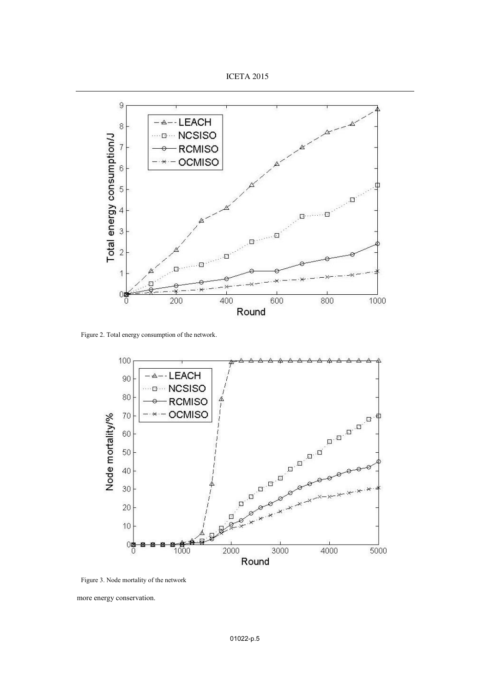



Figure 2. Total energy consumption of the network.



Figure 3. Node mortality of the network

more energy conservation.